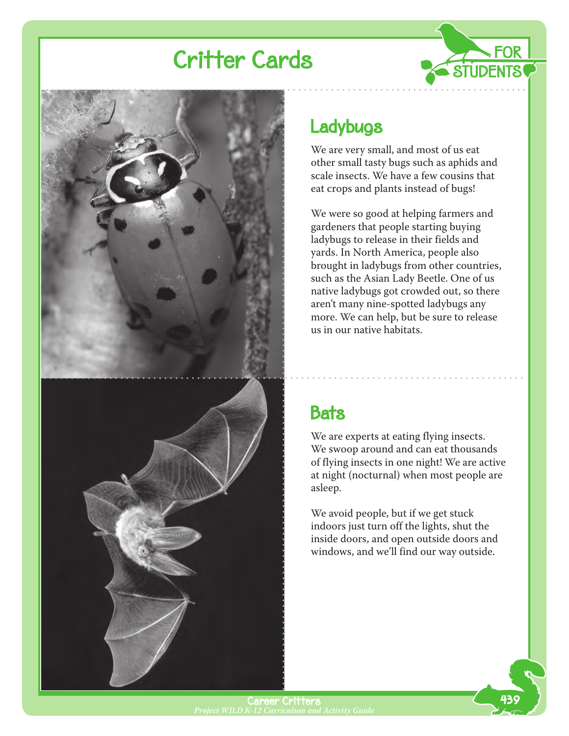

### **Ladybugs**

We are very small, and most of us eat other small tasty bugs such as aphids and scale insects. We have a few cousins that eat crops and plants instead of bugs!

**FOR** 

We were so good at helping farmers and gardeners that people starting buying ladybugs to release in their fields and yards. In North America, people also brought in ladybugs from other countries, such as the Asian Lady Beetle. One of us native ladybugs got crowded out, so there aren't many nine-spotted ladybugs any more. We can help, but be sure to release us in our native habitats.

### **Bats**

We are experts at eating flying insects. We swoop around and can eat thousands of flying insects in one night! We are active at night (nocturnal) when most people are asleep.

We avoid people, but if we get stuck indoors just turn off the lights, shut the inside doors, and open outside doors and windows, and we'll find our way outside.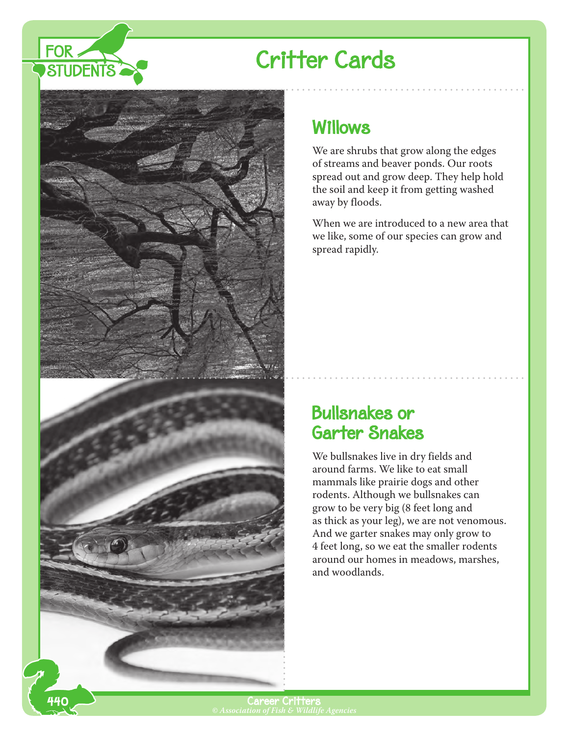



#### Willows

We are shrubs that grow along the edges of streams and beaver ponds. Our roots spread out and grow deep. They help hold the soil and keep it from getting washed away by floods.

When we are introduced to a new area that we like, some of our species can grow and spread rapidly.

#### Bullsnakes or Garter Snakes

We bullsnakes live in dry fields and around farms. We like to eat small mammals like prairie dogs and other rodents. Although we bullsnakes can grow to be very big (8 feet long and as thick as your leg), we are not venomous. And we garter snakes may only grow to 4 feet long, so we eat the smaller rodents around our homes in meadows, marshes, and woodlands.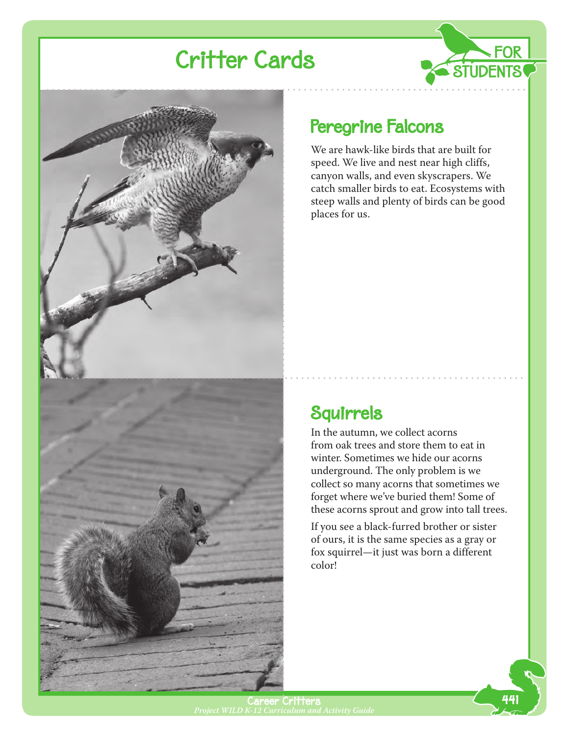



#### Peregrine Falcons

We are hawk-like birds that are built for speed. We live and nest near high cliffs, canyon walls, and even skyscrapers. We catch smaller birds to eat. Ecosystems with steep walls and plenty of birds can be good places for us.

**FOR** 

STUDENTS

### Squirrels

In the autumn, we collect acorns from oak trees and store them to eat in winter. Sometimes we hide our acorns underground. The only problem is we collect so many acorns that sometimes we forget where we've buried them! Some of these acorns sprout and grow into tall trees.

If you see a black-furred brother or sister of ours, it is the same species as a gray or fox squirrel—it just was born a different color!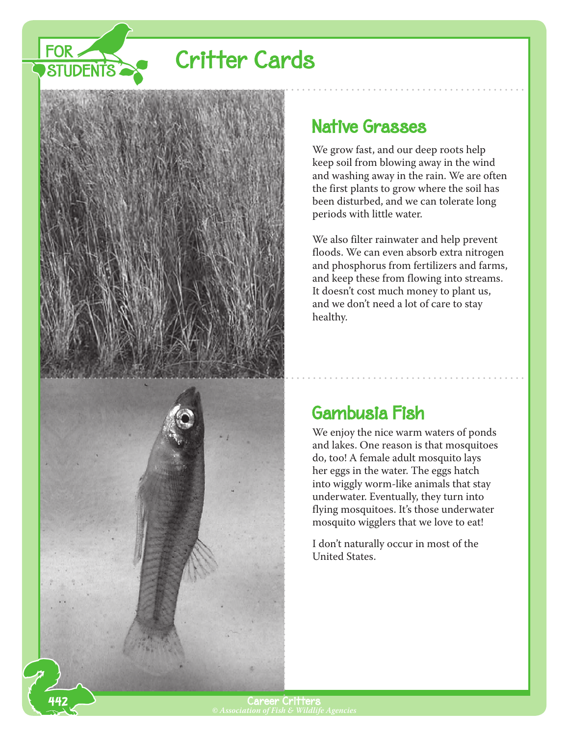



#### **Native Grasses**

We grow fast, and our deep roots help keep soil from blowing away in the wind and washing away in the rain. We are often the first plants to grow where the soil has been disturbed, and we can tolerate long periods with little water.

We also filter rainwater and help prevent floods. We can even absorb extra nitrogen and phosphorus from fertilizers and farms, and keep these from flowing into streams. It doesn't cost much money to plant us, and we don't need a lot of care to stay healthy.

### Gambusia Fish

We enjoy the nice warm waters of ponds and lakes. One reason is that mosquitoes do, too! A female adult mosquito lays her eggs in the water. The eggs hatch into wiggly worm-like animals that stay underwater. Eventually, they turn into flying mosquitoes. It's those underwater mosquito wigglers that we love to eat!

I don't naturally occur in most of the United States.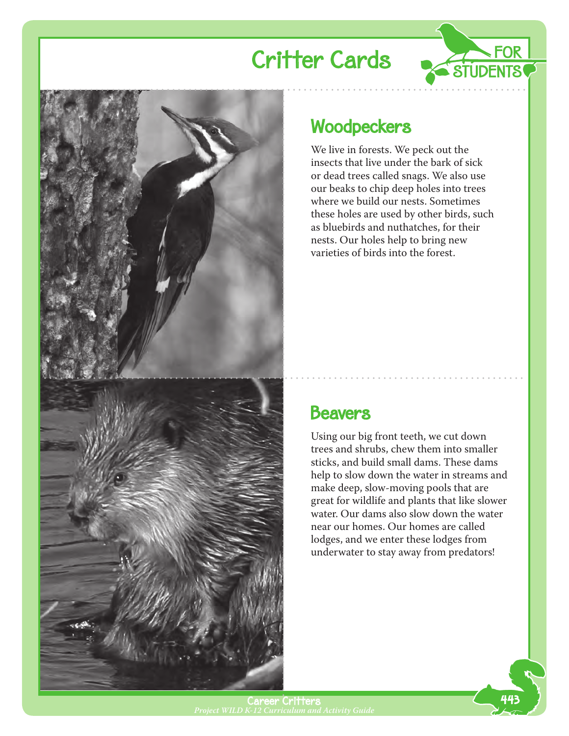



### **Woodpeckers**

We live in forests. We peck out the insects that live under the bark of sick or dead trees called snags. We also use our beaks to chip deep holes into trees where we build our nests. Sometimes these holes are used by other birds, such as bluebirds and nuthatches, for their nests. Our holes help to bring new varieties of birds into the forest.

#### **Beavers**

Using our big front teeth, we cut down trees and shrubs, chew them into smaller sticks, and build small dams. These dams help to slow down the water in streams and make deep, slow-moving pools that are great for wildlife and plants that like slower water. Our dams also slow down the water near our homes. Our homes are called lodges, and we enter these lodges from underwater to stay away from predators!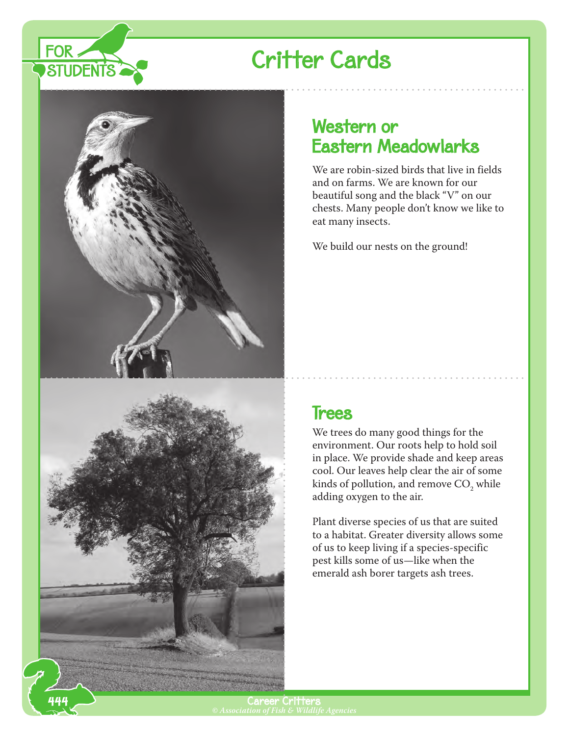





444

#### Western or Eastern Meadowlarks

We are robin-sized birds that live in fields and on farms. We are known for our beautiful song and the black "V" on our chests. Many people don't know we like to eat many insects.

We build our nests on the ground!

#### **Trees**

We trees do many good things for the environment. Our roots help to hold soil in place. We provide shade and keep areas cool. Our leaves help clear the air of some kinds of pollution, and remove  $CO<sub>2</sub>$  while adding oxygen to the air.

Plant diverse species of us that are suited to a habitat. Greater diversity allows some of us to keep living if a species-specific pest kills some of us—like when the emerald ash borer targets ash trees.